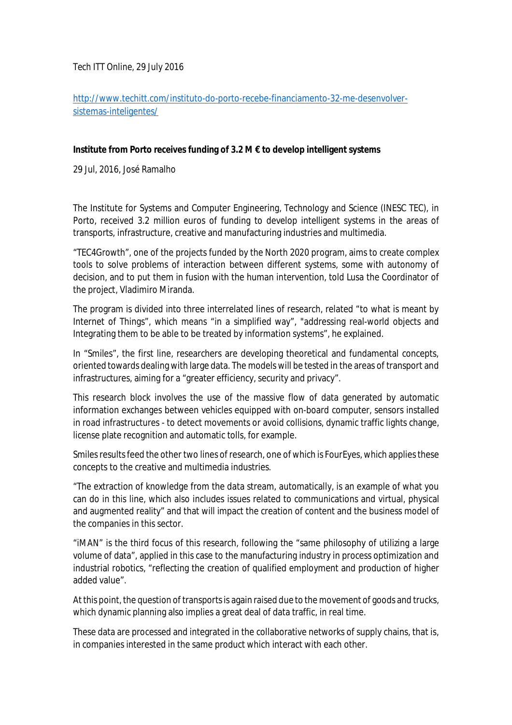*Tech ITT Online*, 29 July 2016

[http://www.techitt.com/instituto-do-porto-recebe-financiamento-32-me-desenvolver](http://www.techitt.com/instituto-do-porto-recebe-financiamento-32-me-desenvolver-)sistemas-inteligentes/

## **Institute from Porto receives funding of 3.2 M € to develop intelligent systems**

29 Jul, 2016, José Ramalho

The Institute for Systems and Computer Engineering, Technology and Science (INESC TEC), in Porto, received 3.2 million euros of funding to develop intelligent systems in the areas of transports, infrastructure, creative and manufacturing industries and multimedia.

"TEC4Growth", one of the projects funded by the North 2020 program, aims to create complex tools to solve problems of interaction between different systems, some with autonomy of decision, and to put them in fusion with the human intervention, told Lusa the Coordinator of the project, Vladimiro Miranda.

The program is divided into three interrelated lines of research, related "to what is meant by Internet of Things", which means "in a simplified way", "addressing real-world objects and Integrating them to be able to be treated by information systems", he explained.

In "Smiles", the first line, researchers are developing theoretical and fundamental concepts, oriented towards dealing with large data. The models will be tested in the areas of transport and infrastructures, aiming for a "greater efficiency, security and privacy".

This research block involves the use of the massive flow of data generated by automatic information exchanges between vehicles equipped with on-board computer, sensors installed in road infrastructures - to detect movements or avoid collisions, dynamic traffic lights change, license plate recognition and automatic tolls, for example.

Smiles results feed the other two lines of research, one of which is FourEyes, which applies these concepts to the creative and multimedia industries.

"The extraction of knowledge from the data stream, automatically, is an example of what you can do in this line, which also includes issues related to communications and virtual, physical and augmented reality" and that will impact the creation of content and the business model of the companies in this sector.

"iMAN" is the third focus of this research, following the "same philosophy of utilizing a large volume of data", applied in this case to the manufacturing industry in process optimization and industrial robotics, "reflecting the creation of qualified employment and production of higher added value".

At this point, the question of transportsis again raised due to the movement of goods and trucks, which dynamic planning also implies a great deal of data traffic, in real time.

These data are processed and integrated in the collaborative networks of supply chains, that is, in companies interested in the same product which interact with each other.